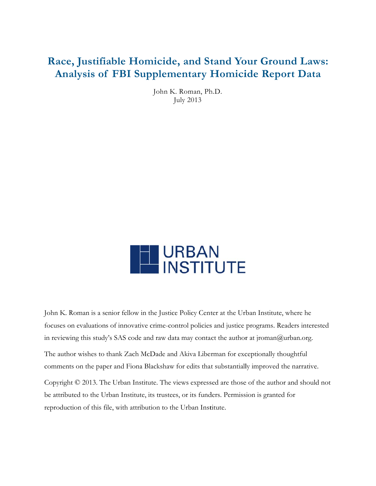# Race, Justifiable Homicide, and Stand Your Ground Laws: Analysis of FBI Supplementary Homicide Report Data

John K . Roman, Ph h.D. J July 2013



John K. Roman is a senior fellow in the Justice Policy Center at the Urban Institute, where he focuses on evaluations of innovative crime-control policies and justice programs. Readers interested in reviewing this study's SAS code and raw data may contact the author at jroman@urban.org. The author wishes to thank Zach McDade and Akiva Liberman for exceptionally thoughtful comments on the paper and Fiona Blackshaw for edits that substantially improved the narrative. Copyright © 2013. The Urban Institute. The views expressed are those of the author and should not be attributed to the Urban Institute, its trustees, or its funders. Permission is granted for

reproduction of this file, with attribution to the Urban Institute.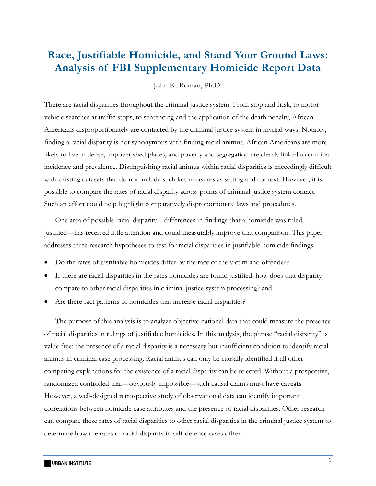# **Race, Justifiable Homicide, and Stand Your Ground Laws: Analysis of FBI Supplementary Homicide Report Data**

John K. Roman, Ph.D.

There are racial disparities throughout the criminal justice system. From stop and frisk, to motor vehicle searches at traffic stops, to sentencing and the application of the death penalty, African Americans disproportionately are contacted by the criminal justice system in myriad ways. Notably, finding a racial disparity is not synonymous with finding racial animus. African Americans are more likely to live in dense, impoverished places, and poverty and segregation are clearly linked to criminal incidence and prevalence. Distinguishing racial animus within racial disparities is exceedingly difficult with existing datasets that do not include such key measures as setting and context. However, it is possible to compare the rates of racial disparity across points of criminal justice system contact. Such an effort could help highlight comparatively disproportionate laws and procedures.

One area of possible racial disparity—differences in findings that a homicide was ruled justified—has received little attention and could measurably improve that comparison. This paper addresses three research hypotheses to test for racial disparities in justifiable homicide findings:

- Do the rates of justifiable homicides differ by the race of the victim and offender?
- If there are racial disparities in the rates homicides are found justified, how does that disparity compare to other racial disparities in criminal justice system processing? and
- Are there fact patterns of homicides that increase racial disparities?

The purpose of this analysis is to analyze objective national data that could measure the presence of racial disparities in rulings of justifiable homicides. In this analysis, the phrase "racial disparity" is value free: the presence of a racial disparity is a necessary but insufficient condition to identify racial animus in criminal case processing. Racial animus can only be causally identified if all other competing explanations for the existence of a racial disparity can be rejected. Without a prospective, randomized controlled trial—obviously impossible—such causal claims must have caveats. However, a well-designed retrospective study of observational data can identify important correlations between homicide case attributes and the presence of racial disparities. Other research can compare these rates of racial disparities to other racial disparities in the criminal justice system to determine how the rates of racial disparity in self-defense cases differ.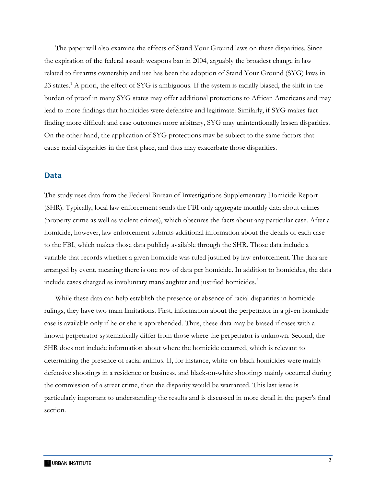The paper will also examine the effects of Stand Your Ground laws on these disparities. Since the expiration of the federal assault weapons ban in 2004, arguably the broadest change in law related to firearms ownership and use has been the adoption of Stand Your Ground (SYG) laws in 23 states.<sup>1</sup> A priori, the effect of SYG is ambiguous. If the system is racially biased, the shift in the burden of proof in many SYG states may offer additional protections to African Americans and may lead to more findings that homicides were defensive and legitimate. Similarly, if SYG makes fact finding more difficult and case outcomes more arbitrary, SYG may unintentionally lessen disparities. On the other hand, the application of SYG protections may be subject to the same factors that cause racial disparities in the first place, and thus may exacerbate those disparities.

#### Data

The study uses data from the Federal Bureau of Investigations Supplementary Homicide Report (SHR). Typically, local law enforcement sends the FBI only aggregate monthly data about crimes (property crime as well as violent crimes), which obscures the facts about any particular case. After a homicide, however, law enforcement submits additional information about the details of each case to the FBI, which makes those data publicly available through the SHR. Those data include a variable that records whether a given homicide was ruled justified by law enforcement. The data are arranged by event, meaning there is one row of data per homicide. In addition to homicides, the data include cases charged as involuntary manslaughter and justified homicides.<sup>2</sup>

While these data can help establish the presence or absence of racial disparities in homicide rulings, they have two main limitations. First, information about the perpetrator in a given homicide case is available only if he or she is apprehended. Thus, these data may be biased if cases with a known perpetrator systematically differ from those where the perpetrator is unknown. Second, the SHR does not include information about where the homicide occurred, which is relevant to determining the presence of racial animus. If, for instance, white-on-black homicides were mainly defensive shootings in a residence or business, and black-on-white shootings mainly occurred during the commission of a street crime, then the disparity would be warranted. This last issue is particularly important to understanding the results and is discussed in more detail in the paper's final section.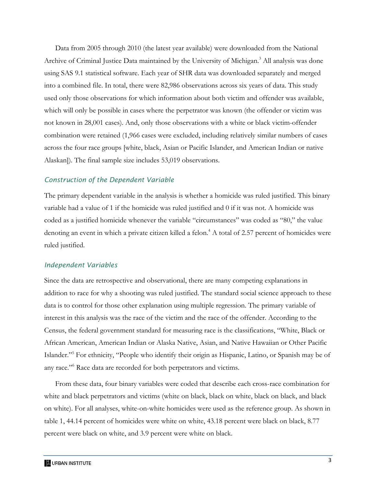Data from 2005 through 2010 (the latest year available) were downloaded from the National Archive of Criminal Justice Data maintained by the University of Michigan.<sup>3</sup> All analysis was done using SAS 9.1 statistical software. Each year of SHR data was downloaded separately and merged into a combined file. In total, there were 82,986 observations across six years of data. This study used only those observations for which information about both victim and offender was available, which will only be possible in cases where the perpetrator was known (the offender or victim was not known in 28,001 cases). And, only those observations with a white or black victim-offender combination were retained (1,966 cases were excluded, including relatively similar numbers of cases across the four race groups [white, black, Asian or Pacific Islander, and American Indian or native Alaskan]). The final sample size includes 53,019 observations.

#### *Construction of the Dependent Variable*

The primary dependent variable in the analysis is whether a homicide was ruled justified. This binary variable had a value of 1 if the homicide was ruled justified and 0 if it was not. A homicide was coded as a justified homicide whenever the variable "circumstances" was coded as "80," the value denoting an event in which a private citizen killed a felon.<sup>4</sup> A total of 2.57 percent of homicides were ruled justified.

#### *Independent Variables*

Since the data are retrospective and observational, there are many competing explanations in addition to race for why a shooting was ruled justified. The standard social science approach to these data is to control for those other explanation using multiple regression. The primary variable of interest in this analysis was the race of the victim and the race of the offender. According to the Census, the federal government standard for measuring race is the classifications, "White, Black or African American, American Indian or Alaska Native, Asian, and Native Hawaiian or Other Pacific Islander."5 For ethnicity, "People who identify their origin as Hispanic, Latino, or Spanish may be of any race."<sup>6</sup> Race data are recorded for both perpetrators and victims.

From these data, four binary variables were coded that describe each cross-race combination for white and black perpetrators and victims (white on black, black on white, black on black, and black on white). For all analyses, white-on-white homicides were used as the reference group. As shown in table 1, 44.14 percent of homicides were white on white, 43.18 percent were black on black, 8.77 percent were black on white, and 3.9 percent were white on black.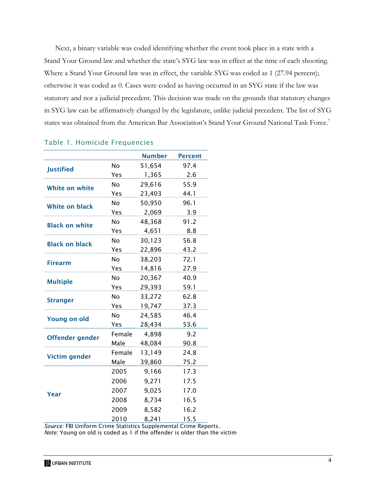Next, a binary variable was coded identifying whether the event took place in a state with a Stand Your Ground law and whether the state's SYG law was in effect at the time of each shooting. Where a Stand Your Ground law was in effect, the variable SYG was coded as 1 (27.94 percent); otherwise it was coded as 0. Cases were coded as having occurred in an SYG state if the law was statutory and not a judicial precedent. This decision was made on the grounds that statutory changes in SYG law can be affirmatively changed by the legislature, unlike judicial precedent. The list of SYG states was obtained from the American Bar Association's Stand Your Ground National Task Force.<sup>7</sup>

|                        |           | <b>Number</b> | <b>Percent</b> |
|------------------------|-----------|---------------|----------------|
| <b>Justified</b>       | <b>No</b> | 51,654        | 97.4           |
|                        | Yes       | 1,365         | 2.6            |
| <b>White on white</b>  | No        | 29,616        | 55.9           |
|                        | Yes       | 23,403        | 44.1           |
| <b>White on black</b>  | No        | 50,950        | 96.1           |
|                        | Yes       | 2,069         | 3.9            |
| <b>Black on white</b>  | <b>No</b> | 48,368        | 91.2           |
|                        | Yes       | 4,651         | 8.8            |
| <b>Black on black</b>  | <b>No</b> | 30,123        | 56.8           |
|                        | Yes       | 22,896        | 43.2           |
| <b>Firearm</b>         | <b>No</b> | 38,203        | 72.1           |
|                        | Yes       | 14,816        | 27.9           |
| <b>Multiple</b>        | <b>No</b> | 20,367        | 40.9           |
|                        | Yes       | 29,393        | 59.1           |
| <b>Stranger</b>        | <b>No</b> | 33,272        | 62.8           |
|                        | Yes       | 19,747        | 37.3           |
| <b>Young on old</b>    | No        | 24,585        | 46.4           |
|                        | Yes       | 28,434        | 53.6           |
| <b>Offender gender</b> | Female    | 4,898         | 9.2            |
|                        | Male      | 48,084        | 90.8           |
|                        | Female    | 13,149        | 24.8           |
| <b>Victim gender</b>   | Male      | 39,860        | 75.2           |
| Year                   | 2005      | 9,166         | 17.3           |
|                        | 2006      | 9,271         | 17.5           |
|                        | 2007      | 9,025         | 17.0           |
|                        | 2008      | 8,734         | 16.5           |
|                        | 2009      | 8,582         | 16.2           |
|                        | 2010      | 8,241         | 15.5           |

#### Table 1. Homicide Frequencies

*Source:* FBI Uniform Crime Statistics Supplemental Crime Reports. *Note:* Young on old is coded as 1 if the offender is older than the victim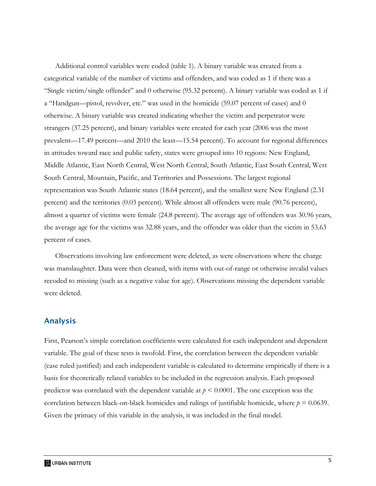Additional control variables were coded (table 1). A binary variable was created from a categorical variable of the number of victims and offenders, and was coded as 1 if there was a "Single victim/single offender" and 0 otherwise (95.32 percent). A binary variable was coded as 1 if a "Handgun—pistol, revolver, etc." was used in the homicide (59.07 percent of cases) and 0 otherwise. A binary variable was created indicating whether the victim and perpetrator were strangers (37.25 percent), and binary variables were created for each year (2006 was the most prevalent—17.49 percent—and 2010 the least—15.54 percent). To account for regional differences in attitudes toward race and public safety, states were grouped into 10 regions: New England, Middle Atlantic, East North Central, West North Central, South Atlantic, East South Central, West South Central, Mountain, Pacific, and Territories and Possessions. The largest regional representation was South Atlantic states (18.64 percent), and the smallest were New England (2.31 percent) and the territories (0.03 percent). While almost all offenders were male (90.76 percent), almost a quarter of victims were female (24.8 percent). The average age of offenders was 30.96 years, the average age for the victims was 32.88 years, and the offender was older than the victim in 53.63 percent of cases.

Observations involving law enforcement were deleted, as were observations where the charge was manslaughter. Data were then cleaned, with items with out-of-range or otherwise invalid values recoded to missing (such as a negative value for age). Observations missing the dependent variable were deleted.

#### Analysis

First, Pearson's simple correlation coefficients were calculated for each independent and dependent variable. The goal of these tests is twofold. First, the correlation between the dependent variable (case ruled justified) and each independent variable is calculated to determine empirically if there is a basis for theoretically related variables to be included in the regression analysis. Each proposed predictor was correlated with the dependent variable at *p* < 0.0001. The one exception was the correlation between black-on-black homicides and rulings of justifiable homicide, where  $p = 0.0639$ . Given the primacy of this variable in the analysis, it was included in the final model.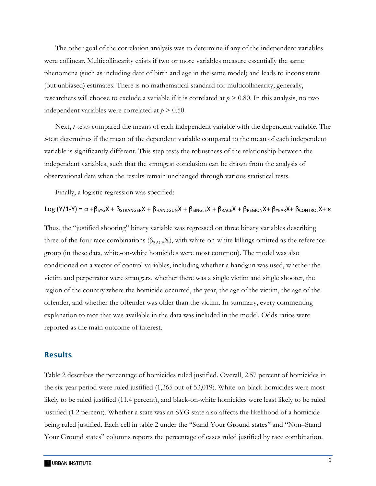The other goal of the correlation analysis was to determine if any of the independent variables were collinear. Multicollinearity exists if two or more variables measure essentially the same phenomena (such as including date of birth and age in the same model) and leads to inconsistent (but unbiased) estimates. There is no mathematical standard for multicollinearity; generally, researchers will choose to exclude a variable if it is correlated at  $p > 0.80$ . In this analysis, no two independent variables were correlated at  $p > 0.50$ .

Next, *t*-tests compared the means of each independent variable with the dependent variable. The *t*-test determines if the mean of the dependent variable compared to the mean of each independent variable is significantly different. This step tests the robustness of the relationship between the independent variables, such that the strongest conclusion can be drawn from the analysis of observational data when the results remain unchanged through various statistical tests.

Finally, a logistic regression was specified:

#### Log  $(Y/1-Y) = \alpha + \beta_{SYG}X + \beta_{STRANGER}X + \beta_{HANDGUN}X + \beta_{SINGLE}X + \beta_{RACE}X + \beta_{REGION}X + \beta_{YEAR}X + \beta_{COMTROL}X + \epsilon$

Thus, the "justified shooting" binary variable was regressed on three binary variables describing three of the four race combinations ( $\beta_{RACE}X$ ), with white-on-white killings omitted as the reference group (in these data, white-on-white homicides were most common). The model was also conditioned on a vector of control variables, including whether a handgun was used, whether the victim and perpetrator were strangers, whether there was a single victim and single shooter, the region of the country where the homicide occurred, the year, the age of the victim, the age of the offender, and whether the offender was older than the victim. In summary, every commenting explanation to race that was available in the data was included in the model. Odds ratios were reported as the main outcome of interest.

#### Results

Table 2 describes the percentage of homicides ruled justified. Overall, 2.57 percent of homicides in the six-year period were ruled justified (1,365 out of 53,019). White-on-black homicides were most likely to be ruled justified (11.4 percent), and black-on-white homicides were least likely to be ruled justified (1.2 percent). Whether a state was an SYG state also affects the likelihood of a homicide being ruled justified. Each cell in table 2 under the "Stand Your Ground states" and "Non–Stand Your Ground states" columns reports the percentage of cases ruled justified by race combination.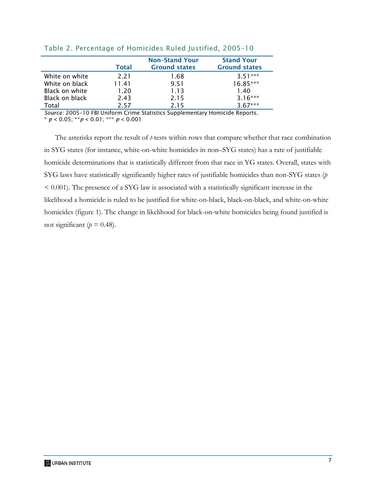|                | <b>Total</b> | <b>Non-Stand Your</b><br><b>Ground states</b> | <b>Stand Your</b><br><b>Ground states</b> |
|----------------|--------------|-----------------------------------------------|-------------------------------------------|
| White on white | 221          | 1.68                                          | $3.51***$                                 |
| White on black | 11.41        | 9.51                                          | $16.85***$                                |
| Black on white | 1.20         | 1.13                                          | 1.40                                      |
| Black on black | 2.43         | 2.15                                          | $3.16***$                                 |
| Total          | 257          | 215                                           | $3.67***$                                 |

#### Table 2. Percentage of Homicides Ruled Justified, 2005–10

*Source:* 2005–10 FBI Uniform Crime Statistics Supplementary Homicide Reports.

\* *p* < 0.05; \*\**p* < 0.01; \*\*\* *p* < 0.001

The asterisks report the result of *t*-tests within rows that compare whether that race combination in SYG states (for instance, white-on-white homicides in non–SYG states) has a rate of justifiable homicide determinations that is statistically different from that race in YG states. Overall, states with SYG laws have statistically significantly higher rates of justifiable homicides than non-SYG states (*p* < 0.001). The presence of a SYG law is associated with a statistically significant increase in the likelihood a homicide is ruled to be justified for white-on-black, black-on-black, and white-on-white homicides (figure 1). The change in likelihood for black-on-white homicides being found justified is not significant ( $p = 0.48$ ).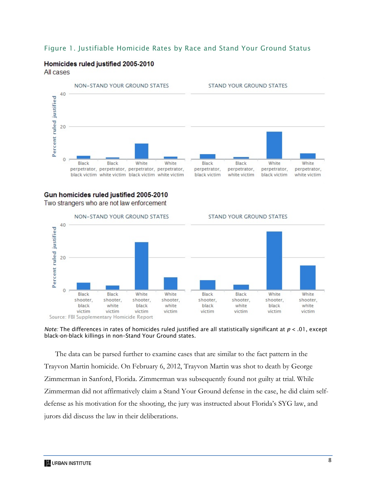#### Figure 1. Justifiable Homicide Rates by Race and Stand Your Ground Status

## Homicides ruled justified 2005-2010

All cases



#### Gun homicides ruled justified 2005-2010 Two strangers who are not law enforcement



*Note:* The differences in rates of homicides ruled justified are all statistically significant at *p* < .01, except black-on-black killings in non–Stand Your Ground states.

The data can be parsed further to examine cases that are similar to the fact pattern in the Trayvon Martin homicide. On February 6, 2012, Trayvon Martin was shot to death by George Zimmerman in Sanford, Florida. Zimmerman was subsequently found not guilty at trial. While Zimmerman did not affirmatively claim a Stand Your Ground defense in the case, he did claim selfdefense as his motivation for the shooting, the jury was instructed about Florida's SYG law, and jurors did discuss the law in their deliberations.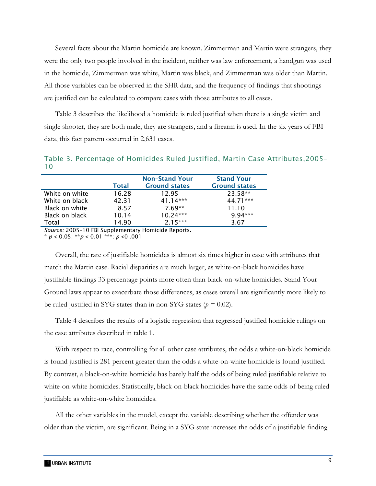Several facts about the Martin homicide are known. Zimmerman and Martin were strangers, they were the only two people involved in the incident, neither was law enforcement, a handgun was used in the homicide, Zimmerman was white, Martin was black, and Zimmerman was older than Martin. All those variables can be observed in the SHR data, and the frequency of findings that shootings are justified can be calculated to compare cases with those attributes to all cases.

Table 3 describes the likelihood a homicide is ruled justified when there is a single victim and single shooter, they are both male, they are strangers, and a firearm is used. In the six years of FBI data, this fact pattern occurred in 2,631 cases.

| . .            |              |                       |                      |
|----------------|--------------|-----------------------|----------------------|
|                |              | <b>Non-Stand Your</b> | <b>Stand Your</b>    |
|                | <b>Total</b> | <b>Ground states</b>  | <b>Ground states</b> |
| White on white | 16.28        | 12.95                 | 23.58**              |
| White on black | 42.31        | $41.14***$            | 44.71***             |
| Black on white | 8.57         | $7.69**$              | 11.10                |
| Black on black | 10.14        | $10.24***$            | $9.94***$            |
| Total          | 14.90        | $2.15***$             | 3.67                 |

Table 3. Percentage of Homicides Ruled Justified, Martin Case Attributes,2005–  $1<sub>0</sub>$ 

*Source:* 2005–10 FBI Supplementary Homicide Reports.

\* *p* < 0.05; \*\**p* < 0.01 \*\*\*; *p* <0 .001

Overall, the rate of justifiable homicides is almost six times higher in case with attributes that match the Martin case. Racial disparities are much larger, as white-on-black homicides have justifiable findings 33 percentage points more often than black-on-white homicides. Stand Your Ground laws appear to exacerbate those differences, as cases overall are significantly more likely to be ruled justified in SYG states than in non-SYG states  $(p = 0.02)$ .

Table 4 describes the results of a logistic regression that regressed justified homicide rulings on the case attributes described in table 1.

With respect to race, controlling for all other case attributes, the odds a white-on-black homicide is found justified is 281 percent greater than the odds a white-on-white homicide is found justified. By contrast, a black-on-white homicide has barely half the odds of being ruled justifiable relative to white-on-white homicides. Statistically, black-on-black homicides have the same odds of being ruled justifiable as white-on-white homicides.

All the other variables in the model, except the variable describing whether the offender was older than the victim, are significant. Being in a SYG state increases the odds of a justifiable finding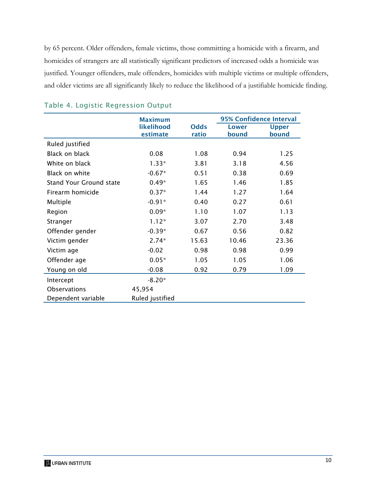by 65 percent. Older offenders, female victims, those committing a homicide with a firearm, and homicides of strangers are all statistically significant predictors of increased odds a homicide was justified. Younger offenders, male offenders, homicides with multiple victims or multiple offenders, and older victims are all significantly likely to reduce the likelihood of a justifiable homicide finding.

|                                | <b>Maximum</b>         |                      | <b>95% Confidence Interval</b> |                       |
|--------------------------------|------------------------|----------------------|--------------------------------|-----------------------|
|                                | likelihood<br>estimate | <b>Odds</b><br>ratio | <b>Lower</b><br>bound          | <b>Upper</b><br>bound |
| Ruled justified                |                        |                      |                                |                       |
| <b>Black on black</b>          | 0.08                   | 1.08                 | 0.94                           | 1.25                  |
| White on black                 | $1.33*$                | 3.81                 | 3.18                           | 4.56                  |
| Black on white                 | $-0.67*$               | 0.51                 | 0.38                           | 0.69                  |
| <b>Stand Your Ground state</b> | $0.49*$                | 1.65                 | 1.46                           | 1.85                  |
| Firearm homicide               | $0.37*$                | 1.44                 | 1.27                           | 1.64                  |
| Multiple                       | $-0.91*$               | 0.40                 | 0.27                           | 0.61                  |
| Region                         | $0.09*$                | 1.10                 | 1.07                           | 1.13                  |
| Stranger                       | $1.12*$                | 3.07                 | 2.70                           | 3.48                  |
| Offender gender                | $-0.39*$               | 0.67                 | 0.56                           | 0.82                  |
| Victim gender                  | $2.74*$                | 15.63                | 10.46                          | 23.36                 |
| Victim age                     | $-0.02$                | 0.98                 | 0.98                           | 0.99                  |
| Offender age                   | $0.05*$                | 1.05                 | 1.05                           | 1.06                  |
| Young on old                   | $-0.08$                | 0.92                 | 0.79                           | 1.09                  |
| Intercept                      | $-8.20*$               |                      |                                |                       |
| Observations                   | 45,954                 |                      |                                |                       |
| Dependent variable             | Ruled justified        |                      |                                |                       |

### Table 4. Logistic Regression Output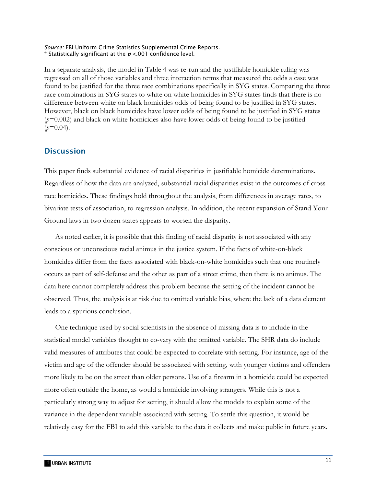#### *Source:* FBI Uniform Crime Statistics Supplemental Crime Reports.  $*$  Statistically significant at the  $p < 001$  confidence level.

In a separate analysis, the model in Table 4 was re-run and the justifiable homicide ruling was regressed on all of those variables and three interaction terms that measured the odds a case was found to be justified for the three race combinations specifically in SYG states. Comparing the three race combinations in SYG states to white on white homicides in SYG states finds that there is no difference between white on black homicides odds of being found to be justified in SYG states. However, black on black homicides have lower odds of being found to be justified in SYG states  $(p=0.002)$  and black on white homicides also have lower odds of being found to be justified  $(p=0.04)$ .

### **Discussion**

This paper finds substantial evidence of racial disparities in justifiable homicide determinations. Regardless of how the data are analyzed, substantial racial disparities exist in the outcomes of crossrace homicides. These findings hold throughout the analysis, from differences in average rates, to bivariate tests of association, to regression analysis. In addition, the recent expansion of Stand Your Ground laws in two dozen states appears to worsen the disparity.

As noted earlier, it is possible that this finding of racial disparity is not associated with any conscious or unconscious racial animus in the justice system. If the facts of white-on-black homicides differ from the facts associated with black-on-white homicides such that one routinely occurs as part of self-defense and the other as part of a street crime, then there is no animus. The data here cannot completely address this problem because the setting of the incident cannot be observed. Thus, the analysis is at risk due to omitted variable bias, where the lack of a data element leads to a spurious conclusion.

One technique used by social scientists in the absence of missing data is to include in the statistical model variables thought to co-vary with the omitted variable. The SHR data do include valid measures of attributes that could be expected to correlate with setting. For instance, age of the victim and age of the offender should be associated with setting, with younger victims and offenders more likely to be on the street than older persons. Use of a firearm in a homicide could be expected more often outside the home, as would a homicide involving strangers. While this is not a particularly strong way to adjust for setting, it should allow the models to explain some of the variance in the dependent variable associated with setting. To settle this question, it would be relatively easy for the FBI to add this variable to the data it collects and make public in future years.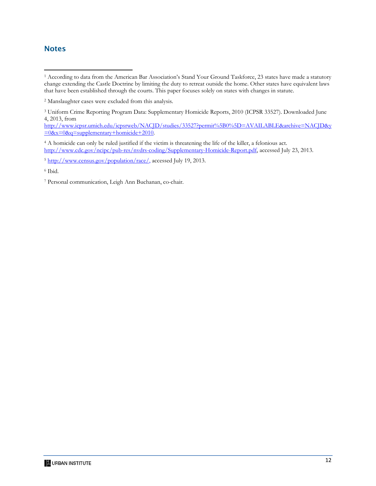## **Notes**

http://www.icpsr.umich.edu/icpsrweb/NACJD/studies/33527?permit%5B0%5D=AVAILABLE&archive=NACJD&y  $=0$ &x=0&q=supplementary+homicide+2010.

4 A homicide can only be ruled justified if the victim is threatening the life of the killer, a felonious act. http://www.cdc.gov/ncipc/pub-res/nvdrs-coding/Supplementary-Homicide-Report.pdf, accessed July 23, 2013.

6 Ibid.

7 Personal communication, Leigh Ann Buchanan, co-chair.

 1 According to data from the American Bar Association's Stand Your Ground Taskforce, 23 states have made a statutory change extending the Castle Doctrine by limiting the duty to retreat outside the home. Other states have equivalent laws that have been established through the courts. This paper focuses solely on states with changes in statute.

<sup>2</sup> Manslaughter cases were excluded from this analysis.

<sup>3</sup> Uniform Crime Reporting Program Data: Supplementary Homicide Reports, 2010 (ICPSR 33527). Downloaded June 4, 2013, from

<sup>5</sup> http://www.census.gov/population/race/, accessed July 19, 2013.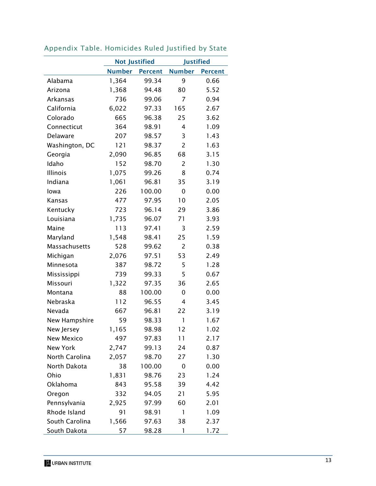|                | <b>Not Justified</b> |                | <b>Justified</b> |                |
|----------------|----------------------|----------------|------------------|----------------|
|                | <b>Number</b>        | <b>Percent</b> | <b>Number</b>    | <b>Percent</b> |
| Alabama        | 1,364                | 99.34          | 9                | 0.66           |
| Arizona        | 1,368                | 94.48          | 80               | 5.52           |
| Arkansas       | 736                  | 99.06          | 7                | 0.94           |
| California     | 6,022                | 97.33          | 165              | 2.67           |
| Colorado       | 665                  | 96.38          | 25               | 3.62           |
| Connecticut    | 364                  | 98.91          | 4                | 1.09           |
| Delaware       | 207                  | 98.57          | 3                | 1.43           |
| Washington, DC | 121                  | 98.37          | $\overline{2}$   | 1.63           |
| Georgia        | 2,090                | 96.85          | 68               | 3.15           |
| Idaho          | 152                  | 98.70          | $\overline{2}$   | 1.30           |
| Illinois       | 1,075                | 99.26          | 8                | 0.74           |
| Indiana        | 1,061                | 96.81          | 35               | 3.19           |
| lowa           | 226                  | 100.00         | 0                | 0.00           |
| Kansas         | 477                  | 97.95          | 10               | 2.05           |
| Kentucky       | 723                  | 96.14          | 29               | 3.86           |
| Louisiana      | 1,735                | 96.07          | 71               | 3.93           |
| Maine          | 113                  | 97.41          | 3                | 2.59           |
| Maryland       | 1,548                | 98.41          | 25               | 1.59           |
| Massachusetts  | 528                  | 99.62          | 2                | 0.38           |
| Michigan       | 2,076                | 97.51          | 53               | 2.49           |
| Minnesota      | 387                  | 98.72          | 5                | 1.28           |
| Mississippi    | 739                  | 99.33          | 5                | 0.67           |
| Missouri       | 1,322                | 97.35          | 36               | 2.65           |
| Montana        | 88                   | 100.00         | 0                | 0.00           |
| Nebraska       | 112                  | 96.55          | 4                | 3.45           |
| Nevada         | 667                  | 96.81          | 22               | 3.19           |
| New Hampshire  | 59                   | 98.33          | 1                | 1.67           |
| New Jersey     | 1,165                | 98.98          | 12               | 1.02           |
| New Mexico     | 497                  | 97.83          | 11               | 2.17           |
| New York       | 2,747                | 99.13          | 24               | 0.87           |
| North Carolina | 2,057                | 98.70          | 27               | 1.30           |
| North Dakota   | 38                   | 100.00         | 0                | 0.00           |
| Ohio           | 1,831                | 98.76          | 23               | 1.24           |
| Oklahoma       | 843                  | 95.58          | 39               | 4.42           |
| Oregon         | 332                  | 94.05          | 21               | 5.95           |
| Pennsylvania   | 2,925                | 97.99          | 60               | 2.01           |
| Rhode Island   | 91                   | 98.91          | 1                | 1.09           |
| South Carolina | 1,566                | 97.63          | 38               | 2.37           |
| South Dakota   | 57                   | 98.28          | 1                | 1.72           |

## Appendix Table. Homicides Ruled Justified by State